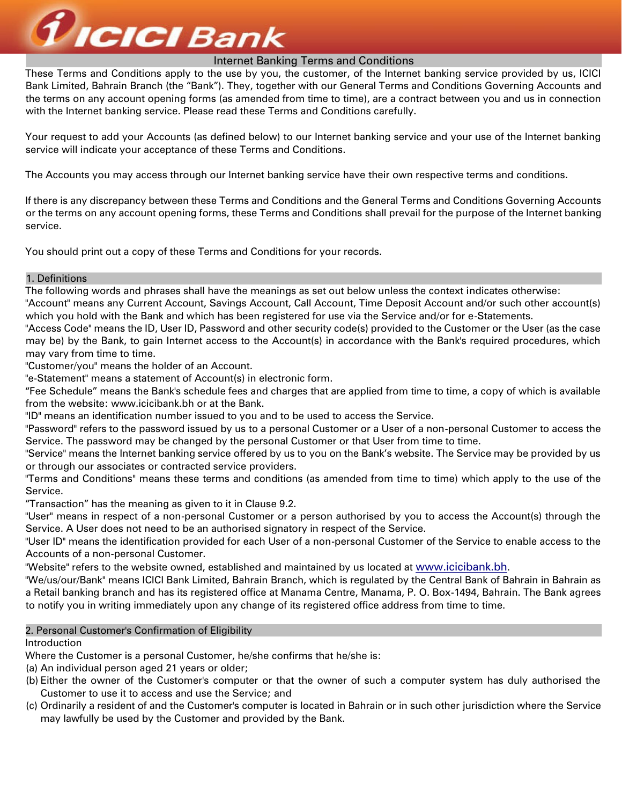

These Terms and Conditions apply to the use by you, the customer, of the Internet banking service provided by us, ICICI Bank Limited, Bahrain Branch (the "Bank"). They, together with our General Terms and Conditions Governing Accounts and the terms on any account opening forms (as amended from time to time), are a contract between you and us in connection with the Internet banking service. Please read these Terms and Conditions carefully.

Your request to add your Accounts (as defined below) to our Internet banking service and your use of the Internet banking service will indicate your acceptance of these Terms and Conditions.

The Accounts you may access through our Internet banking service have their own respective terms and conditions.

If there is any discrepancy between these Terms and Conditions and the General Terms and Conditions Governing Accounts or the terms on any account opening forms, these Terms and Conditions shall prevail for the purpose of the Internet banking service.

You should print out a copy of these Terms and Conditions for your records.

# 1. Definitions

The following words and phrases shall have the meanings as set out below unless the context indicates otherwise:

"Account" means any Current Account, Savings Account, Call Account, Time Deposit Account and/or such other account(s) which you hold with the Bank and which has been registered for use via the Service and/or for e-Statements.

"Access Code" means the ID, User ID, Password and other security code(s) provided to the Customer or the User (as the case may be) by the Bank, to gain Internet access to the Account(s) in accordance with the Bank's required procedures, which may vary from time to time.

"Customer/you" means the holder of an Account.

"e-Statement" means a statement of Account(s) in electronic form.

"Fee Schedule" means the Bank's schedule fees and charges that are applied from time to time, a copy of which is available from the website: www.icicibank.bh or at the Bank.

"ID" means an identification number issued to you and to be used to access the Service.

"Password" refers to the password issued by us to a personal Customer or a User of a non-personal Customer to access the Service. The password may be changed by the personal Customer or that User from time to time.

"Service" means the Internet banking service offered by us to you on the Bank's website. The Service may be provided by us or through our associates or contracted service providers.

"Terms and Conditions" means these terms and conditions (as amended from time to time) which apply to the use of the Service.

"Transaction" has the meaning as given to it in Clause 9.2.

"User" means in respect of a non-personal Customer or a person authorised by you to access the Account(s) through the Service. A User does not need to be an authorised signatory in respect of the Service.

"User ID" means the identification provided for each User of a non-personal Customer of the Service to enable access to the Accounts of a non-personal Customer.

"Website" refers to the website owned, established and maintained by us located at www.icicibank.bh.

"We/us/our/Bank" means ICICI Bank Limited, Bahrain Branch, which is regulated by the Central Bank of Bahrain in Bahrain as a Retail banking branch and has its registered office at Manama Centre, Manama, P. O. Box-1494, Bahrain. The Bank agrees to notify you in writing immediately upon any change of its registered office address from time to time.

# 2. Personal Customer's Confirmation of Eligibility

Introduction

Where the Customer is a personal Customer, he/she confirms that he/she is:

- (a) An individual person aged 21 years or older;
- (b) Either the owner of the Customer's computer or that the owner of such a computer system has duly authorised the Customer to use it to access and use the Service; and
- (c) Ordinarily a resident of and the Customer's computer is located in Bahrain or in such other jurisdiction where the Service may lawfully be used by the Customer and provided by the Bank.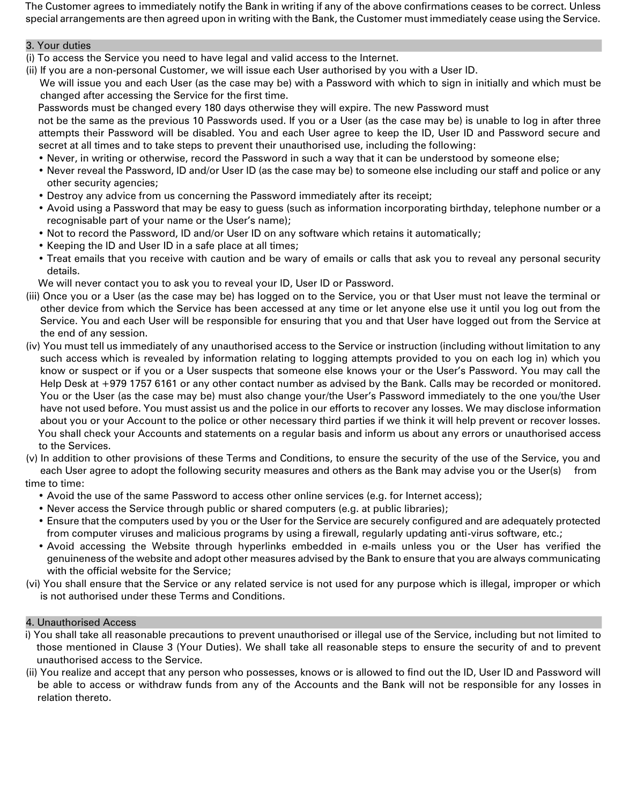The Customer agrees to immediately notify the Bank in writing if any of the above confirmations ceases to be correct. Unless special arrangements are then agreed upon in writing with the Bank, the Customer must immediately cease using the Service.

# 3. Your duties

- (i) To access the Service you need to have legal and valid access to the Internet.
- (ii) If you are a non-personal Customer, we will issue each User authorised by you with a User ID.

We will issue you and each User (as the case may be) with a Password with which to sign in initially and which must be changed after accessing the Service for the first time.

Passwords must be changed every 180 days otherwise they will expire. The new Password must

not be the same as the previous 10 Passwords used. If you or a User (as the case may be) is unable to log in after three attempts their Password will be disabled. You and each User agree to keep the ID, User ID and Password secure and secret at all times and to take steps to prevent their unauthorised use, including the following:

- Never, in writing or otherwise, record the Password in such a way that it can be understood by someone else;
- Never reveal the Password, ID and/or User ID (as the case may be) to someone else including our staff and police or any other security agencies;
- Destroy any advice from us concerning the Password immediately after its receipt;
- Avoid using a Password that may be easy to guess (such as information incorporating birthday, telephone number or a recognisable part of your name or the User's name);
- Not to record the Password, ID and/or User ID on any software which retains it automatically;
- Keeping the ID and User ID in a safe place at all times;
- Treat emails that you receive with caution and be wary of emails or calls that ask you to reveal any personal security details.

We will never contact you to ask you to reveal your ID, User ID or Password.

- (iii) Once you or a User (as the case may be) has logged on to the Service, you or that User must not leave the terminal or other device from which the Service has been accessed at any time or let anyone else use it until you log out from the Service. You and each User will be responsible for ensuring that you and that User have logged out from the Service at the end of any session.
- (iv) You must tell us immediately of any unauthorised access to the Service or instruction (including without limitation to any such access which is revealed by information relating to logging attempts provided to you on each log in) which you know or suspect or if you or a User suspects that someone else knows your or the User's Password. You may call the Help Desk at +979 1757 6161 or any other contact number as advised by the Bank. Calls may be recorded or monitored. You or the User (as the case may be) must also change your/the User's Password immediately to the one you/the User have not used before. You must assist us and the police in our efforts to recover any losses. We may disclose information about you or your Account to the police or other necessary third parties if we think it will help prevent or recover losses. You shall check your Accounts and statements on a regular basis and inform us about any errors or unauthorised access to the Services.

(v) In addition to other provisions of these Terms and Conditions, to ensure the security of the use of the Service, you and each User agree to adopt the following security measures and others as the Bank may advise you or the User(s) from time to time:

- Avoid the use of the same Password to access other online services (e.g. for Internet access);
- Never access the Service through public or shared computers (e.g. at public libraries);
- Ensure that the computers used by you or the User for the Service are securely configured and are adequately protected from computer viruses and malicious programs by using a firewall, regularly updating anti-virus software, etc.;
- Avoid accessing the Website through hyperlinks embedded in e-mails unless you or the User has verified the genuineness of the website and adopt other measures advised by the Bank to ensure that you are always communicating with the official website for the Service;
- (vi) You shall ensure that the Service or any related service is not used for any purpose which is illegal, improper or which is not authorised under these Terms and Conditions.

# 4. Unauthorised Access

- i) You shall take all reasonable precautions to prevent unauthorised or illegal use of the Service, including but not limited to those mentioned in Clause 3 (Your Duties). We shall take all reasonable steps to ensure the security of and to prevent unauthorised access to the Service.
- (ii) You realize and accept that any person who possesses, knows or is allowed to find out the ID, User ID and Password will be able to access or withdraw funds from any of the Accounts and the Bank will not be responsible for any losses in relation thereto.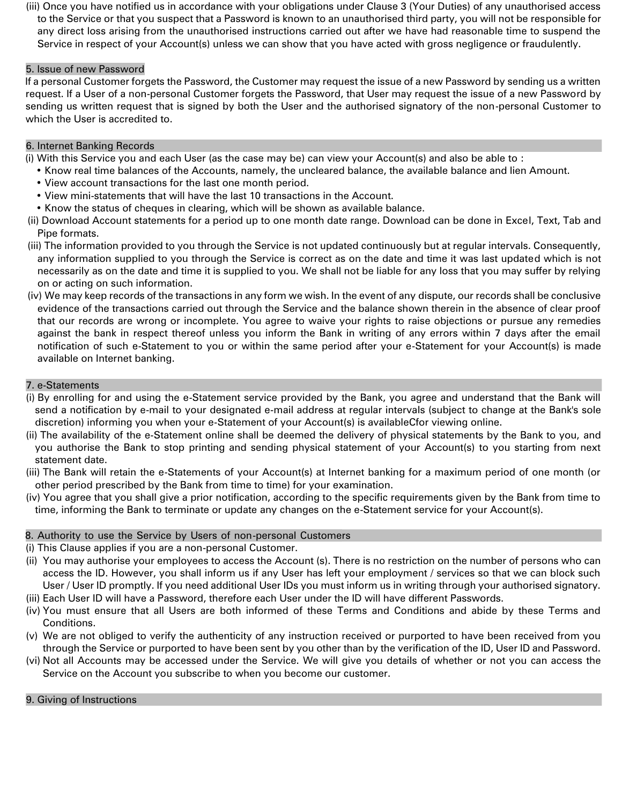(iii) Once you have notified us in accordance with your obligations under Clause 3 (Your Duties) of any unauthorised access to the Service or that you suspect that a Password is known to an unauthorised third party, you will not be responsible for any direct loss arising from the unauthorised instructions carried out after we have had reasonable time to suspend the Service in respect of your Account(s) unless we can show that you have acted with gross negligence or fraudulently.

# 5. Issue of new Password

If a personal Customer forgets the Password, the Customer may request the issue of a new Password by sending us a written request. If a User of a non-personal Customer forgets the Password, that User may request the issue of a new Password by sending us written request that is signed by both the User and the authorised signatory of the non-personal Customer to which the User is accredited to.

# 6 . Internet Banking Records

(i) With this Service you and each User (as the case may be) can view your Account(s) and also be able to :

- Know real time balances of the Accounts, namely, the uncleared balance, the available balance and lien Amount.
- View account transactions for the last one month period.
- View mini-statements that will have the last 10 transactions in the Account.
- Know the status of cheques in clearing, which will be shown as available balance.
- (ii) Download Account statements for a period up to one month date range. Download can be done in Excel, Text, Tab and Pipe formats.
- (iii) The information provided to you through the Service is not updated continuously but at regular intervals. Consequently, any information supplied to you through the Service is correct as on the date and time it was last updated which is not necessarily as on the date and time it is supplied to you. We shall not be liable for any loss that you may suffer by relying on or acting on such information.
- (iv) We may keep records of the transactions in any form we wish. In the event of any dispute, our records shall be conclusive evidence of the transactions carried out through the Service and the balance shown therein in the absence of clear proof that our records are wrong or incomplete. You agree to waive your rights to raise objections or pursue any remedies against the bank in respect thereof unless you inform the Bank in writing of any errors within 7 days after the email notification of such e-Statement to you or within the same period after your e-Statement for your Account(s) is made available on Internet banking.

# 7. e-Statements

- (i) By enrolling for and using the e-Statement service provided by the Bank, you agree and understand that the Bank will send a notification by e-mail to your designated e-mail address at regular intervals (subject to change at the Bank's sole discretion) informing you when your e-Statement of your Account(s) is availableCfor viewing online.
- (ii) The availability of the e-Statement online shall be deemed the delivery of physical statements by the Bank to you, and you authorise the Bank to stop printing and sending physical statement of your Account(s) to you starting from next statement date.
- (iii) The Bank will retain the e-Statements of your Account(s) at Internet banking for a maximum period of one month (or other period prescribed by the Bank from time to time) for your examination.
- (iv) You agree that you shall give a prior notification, according to the specific requirements given by the Bank from time to time, informing the Bank to terminate or update any changes on the e-Statement service for your Account(s).

# 8. Authority to use the Service by Users of non-personal Customers

- (i) This Clause applies if you are a non-personal Customer.
- (ii) You may authorise your employees to access the Account (s). There is no restriction on the number of persons who can access the ID. However, you shall inform us if any User has left your employment / services so that we can block such User / User ID promptly. If you need additional User IDs you must inform us in writing through your authorised signatory.
- (iii) Each User ID will have a Password, therefore each User under the ID will have different Passwords.
- (iv) You must ensure that all Users are both informed of these Terms and Conditions and abide by these Terms and Conditions.
- (v) We are not obliged to verify the authenticity of any instruction received or purported to have been received from you through the Service or purported to have been sent by you other than by the verification of the ID, User ID and Password.
- (vi) Not all Accounts may be accessed under the Service. We will give you details of whether or not you can access the Service on the Account you subscribe to when you become our customer.

# 9. Giving of Instructions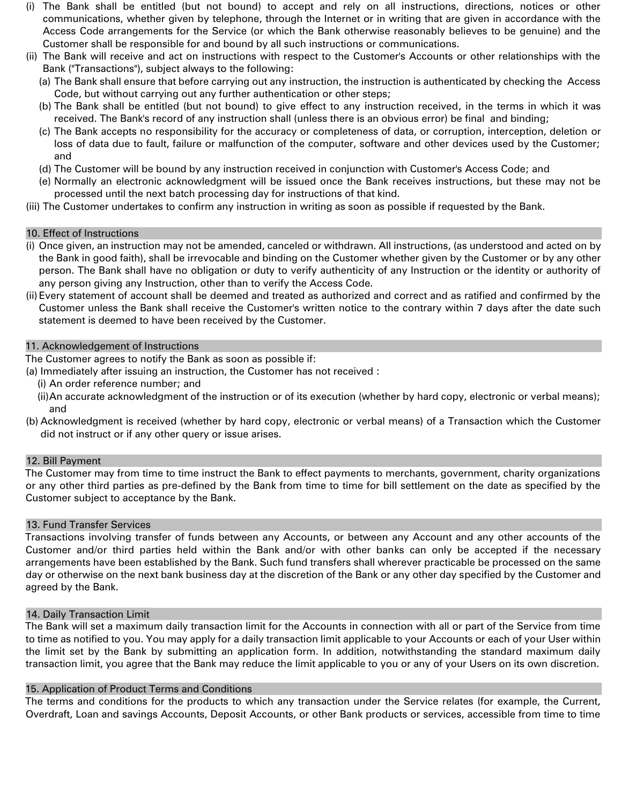- (i) The Bank shall be entitled (but not bound) to accept and rely on all instructions, directions, notices or other communications, whether given by telephone, through the Internet or in writing that are given in accordance with the Access Code arrangements for the Service (or which the Bank otherwise reasonably believes to be genuine) and the Customer shall be responsible for and bound by all such instructions or communications.
- (ii) The Bank will receive and act on instructions with respect to the Customer's Accounts or other relationships with the Bank ("Transactions"), subject always to the following:
	- (a) The Bank shall ensure that before carrying out any instruction, the instruction is authenticated by checking the Access Code, but without carrying out any further authentication or other steps;
	- (b) The Bank shall be entitled (but not bound) to give effect to any instruction received, in the terms in which it was received. The Bank's record of any instruction shall (unless there is an obvious error) be final and binding;
	- (c) The Bank accepts no responsibility for the accuracy or completeness of data, or corruption, interception, deletion or loss of data due to fault, failure or malfunction of the computer, software and other devices used by the Customer; and
	- (d) The Customer will be bound by any instruction received in conjunction with Customer's Access Code; and
	- (e) Normally an electronic acknowledgment will be issued once the Bank receives instructions, but these may not be processed until the next batch processing day for instructions of that kind.
- (iii) The Customer undertakes to confirm any instruction in writing as soon as possible if requested by the Bank.

#### 10. Effect of Instructions

- (i) Once given, an instruction may not be amended, canceled or withdrawn. All instructions, (as understood and acted on by the Bank in good faith), shall be irrevocable and binding on the Customer whether given by the Customer or by any other person. The Bank shall have no obligation or duty to verify authenticity of any Instruction or the identity or authority of any person giving any Instruction, other than to verify the Access Code.
- (ii) Every statement of account shall be deemed and treated as authorized and correct and as ratified and confirmed by the Customer unless the Bank shall receive the Customer's written notice to the contrary within 7 days after the date such statement is deemed to have been received by the Customer.

# 11. Acknowledgement of Instructions

The Customer agrees to notify the Bank as soon as possible if:

- (a) Immediately after issuing an instruction, the Customer has not received :
	- (i) An order reference number; and
	- (ii)An accurate acknowledgment of the instruction or of its execution (whether by hard copy, electronic or verbal means); and
- (b) Acknowledgment is received (whether by hard copy, electronic or verbal means) of a Transaction which the Customer did not instruct or if any other query or issue arises.

# 12. Bill Payment

The Customer may from time to time instruct the Bank to effect payments to merchants, government, charity organizations or any other third parties as pre-defined by the Bank from time to time for bill settlement on the date as specified by the Customer subject to acceptance by the Bank.

# 13. Fund Transfer Services

Transactions involving transfer of funds between any Accounts, or between any Account and any other accounts of the Customer and/or third parties held within the Bank and/or with other banks can only be accepted if the necessary arrangements have been established by the Bank. Such fund transfers shall wherever practicable be processed on the same day or otherwise on the next bank business day at the discretion of the Bank or any other day specified by the Customer and agreed by the Bank.

# 14. Daily Transaction Limit

The Bank will set a maximum daily transaction limit for the Accounts in connection with all or part of the Service from time to time as notified to you. You may apply for a daily transaction limit applicable to your Accounts or each of your User within the limit set by the Bank by submitting an application form. In addition, notwithstanding the standard maximum daily transaction limit, you agree that the Bank may reduce the limit applicable to you or any of your Users on its own discretion.

# 15. Application of Product Terms and Conditions

The terms and conditions for the products to which any transaction under the Service relates (for example, the Current, Overdraft, Loan and savings Accounts, Deposit Accounts, or other Bank products or services, accessible from time to time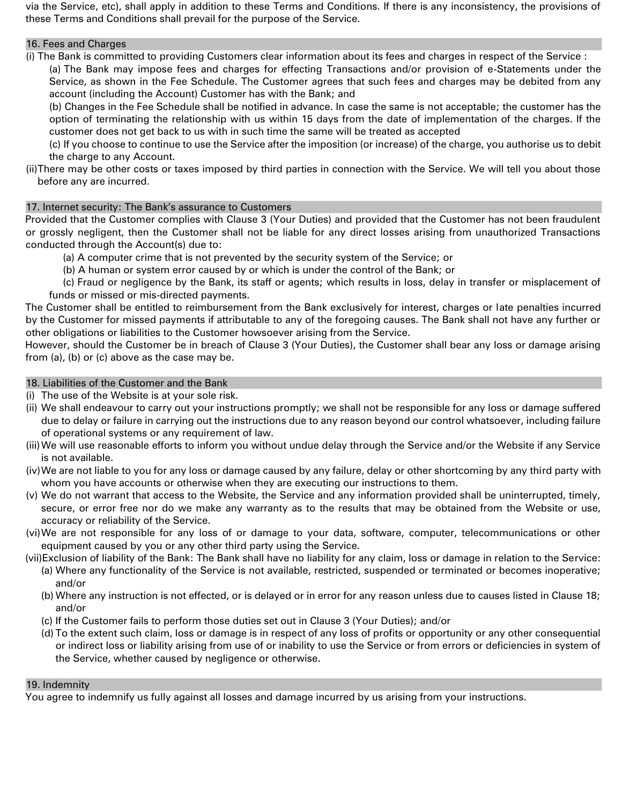via the Service, etc), shall apply in addition to these Terms and Conditions. If there is any inconsistency, the provisions of these Terms and Conditions shall prevail for the purpose of the Service.

# 16. Fees and Charges

(i) The Bank is committed to providing Customers clear information about its fees and charges in respect of the Service : (a) The Bank may impose fees and charges for effecting Transactions and/or provision of e-Statements under the Service, as shown in the Fee Schedule. The Customer agrees that such fees and charges may be debited from any

account (including the Account) Customer has with the Bank; and

(b) Changes in the Fee Schedule shall be notified in advance. In case the same is not acceptable; the customer has the option of terminating the relationship with us within 15 days from the date of implementation of the charges. If the customer does not get back to us with in such time the same will be treated as accepted

(c) If you choose to continue to use the Service after the imposition (or increase) of the charge, you authorise us to debit the charge to any Account.

(ii)There may be other costs or taxes imposed by third parties in connection with the Service. We will tell you about those before any are incurred.

# 17. Internet security: The Bank's assurance to Customers

Provided that the Customer complies with Clause 3 (Your Duties) and provided that the Customer has not been fraudulent or grossly negligent, then the Customer shall not be liable for any direct losses arising from unauthorized Transactions conducted through the Account(s) due to:

- (a) A computer crime that is not prevented by the security system of the Service; or
- (b) A human or system error caused by or which is under the control of the Bank; or

(c) Fraud or negligence by the Bank, its staff or agents; which results in loss, delay in transfer or misplacement of funds or missed or mis-directed payments.

The Customer shall be entitled to reimbursement from the Bank exclusively for interest, charges or late penalties incurred by the Customer for missed payments if attributable to any of the foregoing causes. The Bank shall not have any further or other obligations or liabilities to the Customer howsoever arising from the Service.

However, should the Customer be in breach of Clause 3 (Your Duties), the Customer shall bear any loss or damage arising from (a), (b) or (c) above as the case may be.

# 18. Liabilities of the Customer and the Bank

(i) The use of the Website is at your sole risk.

- (ii) We shall endeavour to carry out your instructions promptly; we shall not be responsible for any loss or damage suffered due to delay or failure in carrying out the instructions due to any reason beyond our control whatsoever, including failure of operational systems or any requirement of law.
- (iii)We will use reasonable efforts to inform you without undue delay through the Service and/or the Website if any Service is not available.
- (iv)We are not liable to you for any loss or damage caused by any failure, delay or other shortcoming by any third party with whom you have accounts or otherwise when they are executing our instructions to them.
- (v) We do not warrant that access to the Website, the Service and any information provided shall be uninterrupted, timely, secure, or error free nor do we make any warranty as to the results that may be obtained from the Website or use, accuracy or reliability of the Service.
- (vi)We are not responsible for any loss of or damage to your data, software, computer, telecommunications or other equipment caused by you or any other third party using the Service.

(vii)Exclusion of liability of the Bank: The Bank shall have no liability for any claim, loss or damage in relation to the Service:

- (a) Where any functionality of the Service is not available, restricted, suspended or terminated or becomes inoperative; and/or
- (b) Where any instruction is not effected, or is delayed or in error for any reason unless due to causes listed in Clause 18; and/or
- (c) If the Customer fails to perform those duties set out in Clause 3 (Your Duties); and/or
- (d) To the extent such claim, loss or damage is in respect of any loss of profits or opportunity or any other consequential or indirect loss or liability arising from use of or inability to use the Service or from errors or deficiencies in system of the Service, whether caused by negligence or otherwise.

# 19. Indemnity

You agree to indemnify us fully against all losses and damage incurred by us arising from your instructions.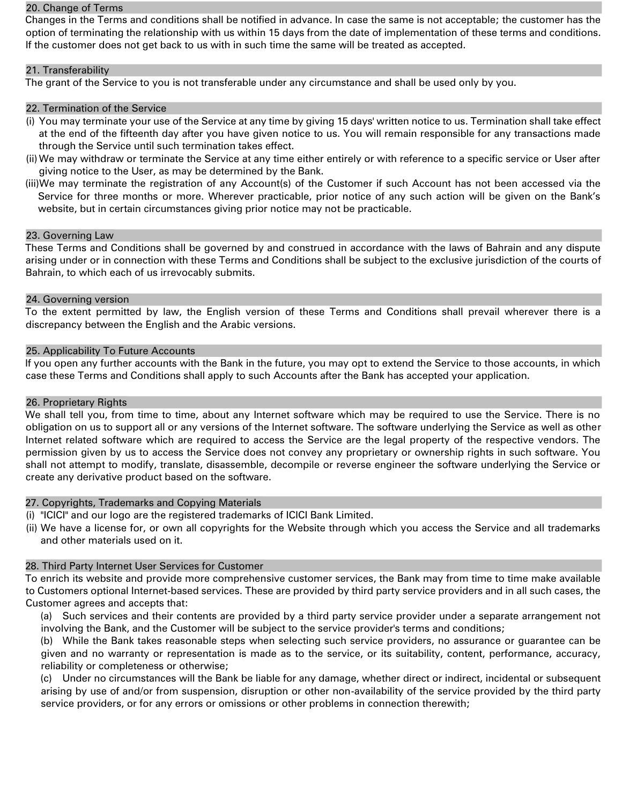#### 20. Change of Terms

Changes in the Terms and conditions shall be notified in advance. In case the same is not acceptable; the customer has the option of terminating the relationship with us within 15 days from the date of implementation of these terms and conditions. If the customer does not get back to us with in such time the same will be treated as accepted.

# 21. Transferability

The grant of the Service to you is not transferable under any circumstance and shall be used only by you.

#### 22. Termination of the Service

- (i) You may terminate your use of the Service at any time by giving 15 days' written notice to us. Termination shall take effect at the end of the fifteenth day after you have given notice to us. You will remain responsible for any transactions made through the Service until such termination takes effect.
- (ii)We may withdraw or terminate the Service at any time either entirely or with reference to a specific service or User after giving notice to the User, as may be determined by the Bank.
- (iii)We may terminate the registration of any Account(s) of the Customer if such Account has not been accessed via the Service for three months or more. Wherever practicable, prior notice of any such action will be given on the Bank's website, but in certain circumstances giving prior notice may not be practicable.

#### 23. Governing Law

These Terms and Conditions shall be governed by and construed in accordance with the laws of Bahrain and any dispute arising under or in connection with these Terms and Conditions shall be subject to the exclusive jurisdiction of the courts of Bahrain, to which each of us irrevocably submits.

#### 24. Governing version

To the extent permitted by law, the English version of these Terms and Conditions shall prevail wherever there is a discrepancy between the English and the Arabic versions.

#### 25 . Applicability To Future Accounts

If you open any further accounts with the Bank in the future, you may opt to extend the Service to those accounts, in which case these Terms and Conditions shall apply to such Accounts after the Bank has accepted your application.

#### 26. Proprietary Rights

We shall tell you, from time to time, about any Internet software which may be required to use the Service. There is no obligation on us to support all or any versions of the Internet software. The software underlying the Service as well as other Internet related software which are required to access the Service are the legal property of the respective vendors. The permission given by us to access the Service does not convey any proprietary or ownership rights in such software. You shall not attempt to modify, translate, disassemble, decompile or reverse engineer the software underlying the Service or create any derivative product based on the software.

#### 27. Copyrights, Trademarks and Copying Materials

- (i) "ICICI" and our logo are the registered trademarks of ICICI Bank Limited.
- (ii) We have a license for, or own all copyrights for the Website through which you access the Service and all trademarks and other materials used on it.

# 28. Third Party Internet User Services for Customer

To enrich its website and provide more comprehensive customer services, the Bank may from time to time make available to Customers optional Internet-based services. These are provided by third party service providers and in all such cases, the Customer agrees and accepts that:

(a) Such services and their contents are provided by a third party service provider under a separate arrangement not involving the Bank, and the Customer will be subject to the service provider's terms and conditions;

(b) While the Bank takes reasonable steps when selecting such service providers, no assurance or guarantee can be given and no warranty or representation is made as to the service, or its suitability, content, performance, accuracy, reliability or completeness or otherwise;

(c) Under no circumstances will the Bank be liable for any damage, whether direct or indirect, incidental or subsequent arising by use of and/or from suspension, disruption or other non-availability of the service provided by the third party service providers, or for any errors or omissions or other problems in connection therewith;